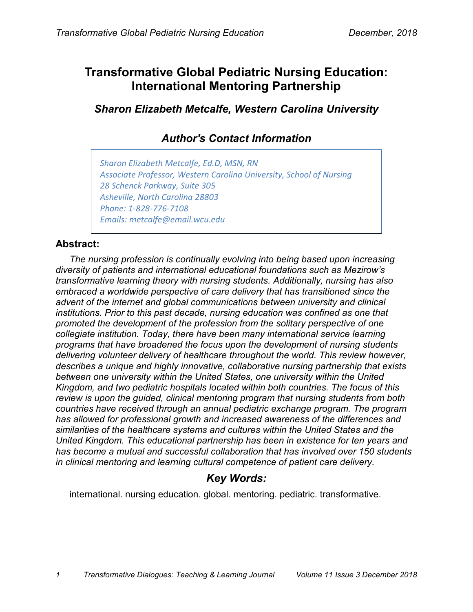# **Transformative Global Pediatric Nursing Education: International Mentoring Partnership**

*Sharon Elizabeth Metcalfe, Western Carolina University*

## *Author's Contact Information*

*Sharon Elizabeth Metcalfe, Ed.D, MSN, RN Associate Professor, Western Carolina University, School of Nursing 28 Schenck Parkway, Suite 305 Asheville, North Carolina 28803 Phone: 1-828-776-7108 Emails: metcalfe@email.wcu.edu*

## **Abstract:**

*The nursing profession is continually evolving into being based upon increasing diversity of patients and international educational foundations such as Mezirow's transformative learning theory with nursing students. Additionally, nursing has also embraced a worldwide perspective of care delivery that has transitioned since the advent of the internet and global communications between university and clinical institutions. Prior to this past decade, nursing education was confined as one that promoted the development of the profession from the solitary perspective of one collegiate institution. Today, there have been many international service learning programs that have broadened the focus upon the development of nursing students delivering volunteer delivery of healthcare throughout the world. This review however, describes a unique and highly innovative, collaborative nursing partnership that exists between one university within the United States, one university within the United Kingdom, and two pediatric hospitals located within both countries. The focus of this review is upon the guided, clinical mentoring program that nursing students from both countries have received through an annual pediatric exchange program. The program has allowed for professional growth and increased awareness of the differences and similarities of the healthcare systems and cultures within the United States and the United Kingdom. This educational partnership has been in existence for ten years and has become a mutual and successful collaboration that has involved over 150 students in clinical mentoring and learning cultural competence of patient care delivery.*

## *Key Words:*

international. nursing education. global. mentoring. pediatric. transformative.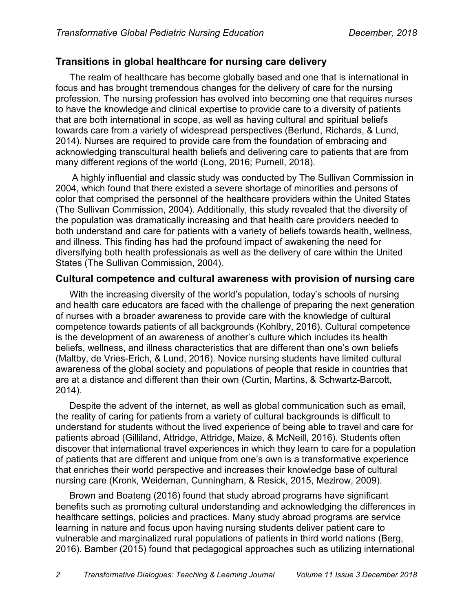## **Transitions in global healthcare for nursing care delivery**

The realm of healthcare has become globally based and one that is international in focus and has brought tremendous changes for the delivery of care for the nursing profession. The nursing profession has evolved into becoming one that requires nurses to have the knowledge and clinical expertise to provide care to a diversity of patients that are both international in scope, as well as having cultural and spiritual beliefs towards care from a variety of widespread perspectives (Berlund, Richards, & Lund, 2014). Nurses are required to provide care from the foundation of embracing and acknowledging transcultural health beliefs and delivering care to patients that are from many different regions of the world (Long, 2016; Purnell, 2018).

A highly influential and classic study was conducted by The Sullivan Commission in 2004, which found that there existed a severe shortage of minorities and persons of color that comprised the personnel of the healthcare providers within the United States (The Sullivan Commission, 2004). Additionally, this study revealed that the diversity of the population was dramatically increasing and that health care providers needed to both understand and care for patients with a variety of beliefs towards health, wellness, and illness. This finding has had the profound impact of awakening the need for diversifying both health professionals as well as the delivery of care within the United States (The Sullivan Commission, 2004).

#### **Cultural competence and cultural awareness with provision of nursing care**

With the increasing diversity of the world's population, today's schools of nursing and health care educators are faced with the challenge of preparing the next generation of nurses with a broader awareness to provide care with the knowledge of cultural competence towards patients of all backgrounds (Kohlbry, 2016). Cultural competence is the development of an awareness of another's culture which includes its health beliefs, wellness, and illness characteristics that are different than one's own beliefs (Maltby, de Vries-Erich, & Lund, 2016). Novice nursing students have limited cultural awareness of the global society and populations of people that reside in countries that are at a distance and different than their own (Curtin, Martins, & Schwartz-Barcott, 2014).

Despite the advent of the internet, as well as global communication such as email, the reality of caring for patients from a variety of cultural backgrounds is difficult to understand for students without the lived experience of being able to travel and care for patients abroad (Gilliland, Attridge, Attridge, Maize, & McNeill, 2016). Students often discover that international travel experiences in which they learn to care for a population of patients that are different and unique from one's own is a transformative experience that enriches their world perspective and increases their knowledge base of cultural nursing care (Kronk, Weideman, Cunningham, & Resick, 2015, Mezirow, 2009).

Brown and Boateng (2016) found that study abroad programs have significant benefits such as promoting cultural understanding and acknowledging the differences in healthcare settings, policies and practices. Many study abroad programs are service learning in nature and focus upon having nursing students deliver patient care to vulnerable and marginalized rural populations of patients in third world nations (Berg, 2016). Bamber (2015) found that pedagogical approaches such as utilizing international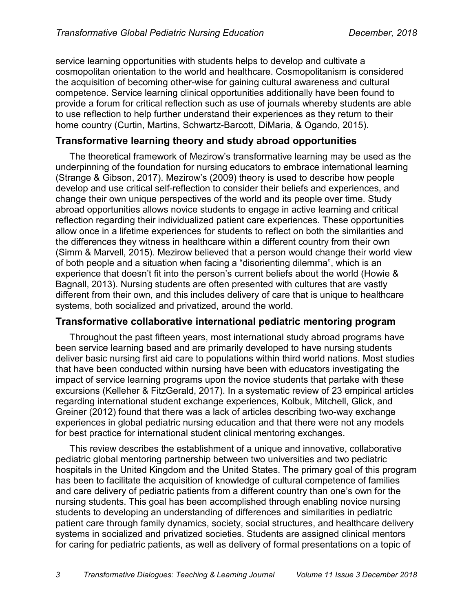service learning opportunities with students helps to develop and cultivate a cosmopolitan orientation to the world and healthcare. Cosmopolitanism is considered the acquisition of becoming other-wise for gaining cultural awareness and cultural competence. Service learning clinical opportunities additionally have been found to provide a forum for critical reflection such as use of journals whereby students are able to use reflection to help further understand their experiences as they return to their home country (Curtin, Martins, Schwartz-Barcott, DiMaria, & Ogando, 2015).

#### **Transformative learning theory and study abroad opportunities**

The theoretical framework of Mezirow's transformative learning may be used as the underpinning of the foundation for nursing educators to embrace international learning (Strange & Gibson, 2017). Mezirow's (2009) theory is used to describe how people develop and use critical self-reflection to consider their beliefs and experiences, and change their own unique perspectives of the world and its people over time. Study abroad opportunities allows novice students to engage in active learning and critical reflection regarding their individualized patient care experiences. These opportunities allow once in a lifetime experiences for students to reflect on both the similarities and the differences they witness in healthcare within a different country from their own (Simm & Marvell, 2015). Mezirow believed that a person would change their world view of both people and a situation when facing a "disorienting dilemma", which is an experience that doesn't fit into the person's current beliefs about the world (Howie & Bagnall, 2013). Nursing students are often presented with cultures that are vastly different from their own, and this includes delivery of care that is unique to healthcare systems, both socialized and privatized, around the world.

#### **Transformative collaborative international pediatric mentoring program**

Throughout the past fifteen years, most international study abroad programs have been service learning based and are primarily developed to have nursing students deliver basic nursing first aid care to populations within third world nations. Most studies that have been conducted within nursing have been with educators investigating the impact of service learning programs upon the novice students that partake with these excursions (Kelleher & FitzGerald, 2017). In a systematic review of 23 empirical articles regarding international student exchange experiences, Kolbuk, Mitchell, Glick, and Greiner (2012) found that there was a lack of articles describing two-way exchange experiences in global pediatric nursing education and that there were not any models for best practice for international student clinical mentoring exchanges.

This review describes the establishment of a unique and innovative, collaborative pediatric global mentoring partnership between two universities and two pediatric hospitals in the United Kingdom and the United States. The primary goal of this program has been to facilitate the acquisition of knowledge of cultural competence of families and care delivery of pediatric patients from a different country than one's own for the nursing students. This goal has been accomplished through enabling novice nursing students to developing an understanding of differences and similarities in pediatric patient care through family dynamics, society, social structures, and healthcare delivery systems in socialized and privatized societies. Students are assigned clinical mentors for caring for pediatric patients, as well as delivery of formal presentations on a topic of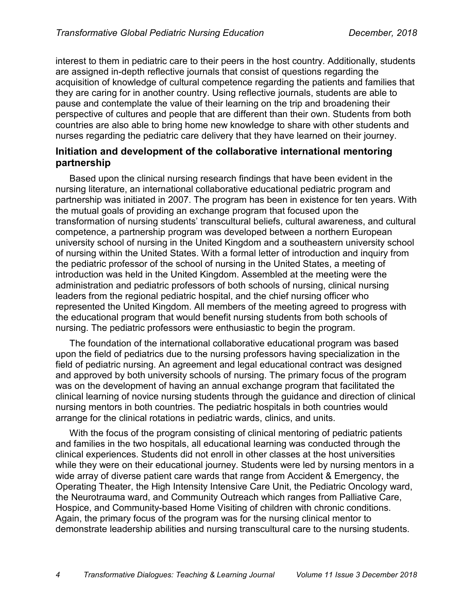interest to them in pediatric care to their peers in the host country. Additionally, students are assigned in-depth reflective journals that consist of questions regarding the acquisition of knowledge of cultural competence regarding the patients and families that they are caring for in another country. Using reflective journals, students are able to pause and contemplate the value of their learning on the trip and broadening their perspective of cultures and people that are different than their own. Students from both countries are also able to bring home new knowledge to share with other students and nurses regarding the pediatric care delivery that they have learned on their journey.

#### **Initiation and development of the collaborative international mentoring partnership**

Based upon the clinical nursing research findings that have been evident in the nursing literature, an international collaborative educational pediatric program and partnership was initiated in 2007. The program has been in existence for ten years. With the mutual goals of providing an exchange program that focused upon the transformation of nursing students' transcultural beliefs, cultural awareness, and cultural competence, a partnership program was developed between a northern European university school of nursing in the United Kingdom and a southeastern university school of nursing within the United States. With a formal letter of introduction and inquiry from the pediatric professor of the school of nursing in the United States, a meeting of introduction was held in the United Kingdom. Assembled at the meeting were the administration and pediatric professors of both schools of nursing, clinical nursing leaders from the regional pediatric hospital, and the chief nursing officer who represented the United Kingdom. All members of the meeting agreed to progress with the educational program that would benefit nursing students from both schools of nursing. The pediatric professors were enthusiastic to begin the program.

The foundation of the international collaborative educational program was based upon the field of pediatrics due to the nursing professors having specialization in the field of pediatric nursing. An agreement and legal educational contract was designed and approved by both university schools of nursing. The primary focus of the program was on the development of having an annual exchange program that facilitated the clinical learning of novice nursing students through the guidance and direction of clinical nursing mentors in both countries. The pediatric hospitals in both countries would arrange for the clinical rotations in pediatric wards, clinics, and units.

With the focus of the program consisting of clinical mentoring of pediatric patients and families in the two hospitals, all educational learning was conducted through the clinical experiences. Students did not enroll in other classes at the host universities while they were on their educational journey. Students were led by nursing mentors in a wide array of diverse patient care wards that range from Accident & Emergency, the Operating Theater, the High Intensity Intensive Care Unit, the Pediatric Oncology ward, the Neurotrauma ward, and Community Outreach which ranges from Palliative Care, Hospice, and Community-based Home Visiting of children with chronic conditions. Again, the primary focus of the program was for the nursing clinical mentor to demonstrate leadership abilities and nursing transcultural care to the nursing students.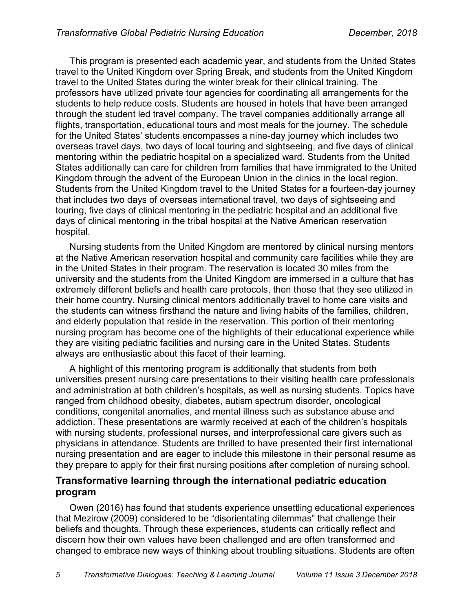This program is presented each academic year, and students from the United States travel to the United Kingdom over Spring Break, and students from the United Kingdom travel to the United States during the winter break for their clinical training. The professors have utilized private tour agencies for coordinating all arrangements for the students to help reduce costs. Students are housed in hotels that have been arranged through the student led travel company. The travel companies additionally arrange all flights, transportation, educational tours and most meals for the journey. The schedule for the United States' students encompasses a nine-day journey which includes two overseas travel days, two days of local touring and sightseeing, and five days of clinical mentoring within the pediatric hospital on a specialized ward. Students from the United States additionally can care for children from families that have immigrated to the United Kingdom through the advent of the European Union in the clinics in the local region. Students from the United Kingdom travel to the United States for a fourteen-day journey that includes two days of overseas international travel, two days of sightseeing and touring, five days of clinical mentoring in the pediatric hospital and an additional five days of clinical mentoring in the tribal hospital at the Native American reservation hospital.

Nursing students from the United Kingdom are mentored by clinical nursing mentors at the Native American reservation hospital and community care facilities while they are in the United States in their program. The reservation is located 30 miles from the university and the students from the United Kingdom are immersed in a culture that has extremely different beliefs and health care protocols, then those that they see utilized in their home country. Nursing clinical mentors additionally travel to home care visits and the students can witness firsthand the nature and living habits of the families, children, and elderly population that reside in the reservation. This portion of their mentoring nursing program has become one of the highlights of their educational experience while they are visiting pediatric facilities and nursing care in the United States. Students always are enthusiastic about this facet of their learning.

A highlight of this mentoring program is additionally that students from both universities present nursing care presentations to their visiting health care professionals and administration at both children's hospitals, as well as nursing students. Topics have ranged from childhood obesity, diabetes, autism spectrum disorder, oncological conditions, congenital anomalies, and mental illness such as substance abuse and addiction. These presentations are warmly received at each of the children's hospitals with nursing students, professional nurses, and interprofessional care givers such as physicians in attendance. Students are thrilled to have presented their first international nursing presentation and are eager to include this milestone in their personal resume as they prepare to apply for their first nursing positions after completion of nursing school.

### **Transformative learning through the international pediatric education program**

Owen (2016) has found that students experience unsettling educational experiences that Mezirow (2009) considered to be "disorientating dilemmas" that challenge their beliefs and thoughts. Through these experiences, students can critically reflect and discern how their own values have been challenged and are often transformed and changed to embrace new ways of thinking about troubling situations. Students are often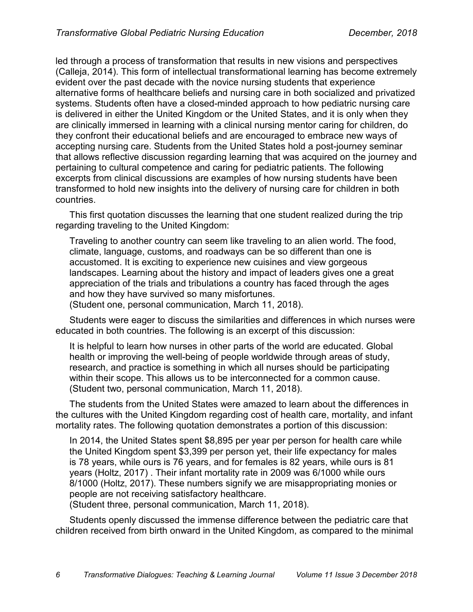led through a process of transformation that results in new visions and perspectives (Calleja, 2014). This form of intellectual transformational learning has become extremely evident over the past decade with the novice nursing students that experience alternative forms of healthcare beliefs and nursing care in both socialized and privatized systems. Students often have a closed-minded approach to how pediatric nursing care is delivered in either the United Kingdom or the United States, and it is only when they are clinically immersed in learning with a clinical nursing mentor caring for children, do they confront their educational beliefs and are encouraged to embrace new ways of accepting nursing care. Students from the United States hold a post-journey seminar that allows reflective discussion regarding learning that was acquired on the journey and pertaining to cultural competence and caring for pediatric patients. The following excerpts from clinical discussions are examples of how nursing students have been transformed to hold new insights into the delivery of nursing care for children in both countries.

This first quotation discusses the learning that one student realized during the trip regarding traveling to the United Kingdom:

Traveling to another country can seem like traveling to an alien world. The food, climate, language, customs, and roadways can be so different than one is accustomed. It is exciting to experience new cuisines and view gorgeous landscapes. Learning about the history and impact of leaders gives one a great appreciation of the trials and tribulations a country has faced through the ages and how they have survived so many misfortunes.

(Student one, personal communication, March 11, 2018).

Students were eager to discuss the similarities and differences in which nurses were educated in both countries. The following is an excerpt of this discussion:

It is helpful to learn how nurses in other parts of the world are educated. Global health or improving the well-being of people worldwide through areas of study, research, and practice is something in which all nurses should be participating within their scope. This allows us to be interconnected for a common cause. (Student two, personal communication, March 11, 2018).

The students from the United States were amazed to learn about the differences in the cultures with the United Kingdom regarding cost of health care, mortality, and infant mortality rates. The following quotation demonstrates a portion of this discussion:

In 2014, the United States spent \$8,895 per year per person for health care while the United Kingdom spent \$3,399 per person yet, their life expectancy for males is 78 years, while ours is 76 years, and for females is 82 years, while ours is 81 years (Holtz, 2017) . Their infant mortality rate in 2009 was 6/1000 while ours 8/1000 (Holtz, 2017). These numbers signify we are misappropriating monies or people are not receiving satisfactory healthcare.

(Student three, personal communication, March 11, 2018).

Students openly discussed the immense difference between the pediatric care that children received from birth onward in the United Kingdom, as compared to the minimal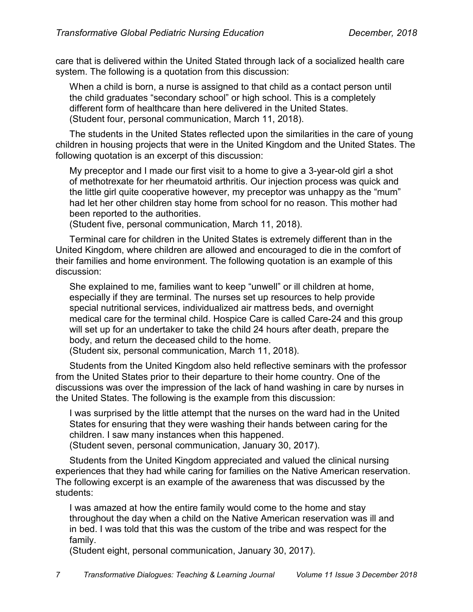care that is delivered within the United Stated through lack of a socialized health care system. The following is a quotation from this discussion:

When a child is born, a nurse is assigned to that child as a contact person until the child graduates "secondary school" or high school. This is a completely different form of healthcare than here delivered in the United States. (Student four, personal communication, March 11, 2018).

The students in the United States reflected upon the similarities in the care of young children in housing projects that were in the United Kingdom and the United States. The following quotation is an excerpt of this discussion:

My preceptor and I made our first visit to a home to give a 3-year-old girl a shot of methotrexate for her rheumatoid arthritis. Our injection process was quick and the little girl quite cooperative however, my preceptor was unhappy as the "mum" had let her other children stay home from school for no reason. This mother had been reported to the authorities.

(Student five, personal communication, March 11, 2018).

Terminal care for children in the United States is extremely different than in the United Kingdom, where children are allowed and encouraged to die in the comfort of their families and home environment. The following quotation is an example of this discussion:

She explained to me, families want to keep "unwell" or ill children at home, especially if they are terminal. The nurses set up resources to help provide special nutritional services, individualized air mattress beds, and overnight medical care for the terminal child. Hospice Care is called Care-24 and this group will set up for an undertaker to take the child 24 hours after death, prepare the body, and return the deceased child to the home.

(Student six, personal communication, March 11, 2018).

Students from the United Kingdom also held reflective seminars with the professor from the United States prior to their departure to their home country. One of the discussions was over the impression of the lack of hand washing in care by nurses in the United States. The following is the example from this discussion:

I was surprised by the little attempt that the nurses on the ward had in the United States for ensuring that they were washing their hands between caring for the children. I saw many instances when this happened.

(Student seven, personal communication, January 30, 2017).

Students from the United Kingdom appreciated and valued the clinical nursing experiences that they had while caring for families on the Native American reservation. The following excerpt is an example of the awareness that was discussed by the students:

I was amazed at how the entire family would come to the home and stay throughout the day when a child on the Native American reservation was ill and in bed. I was told that this was the custom of the tribe and was respect for the family.

(Student eight, personal communication, January 30, 2017).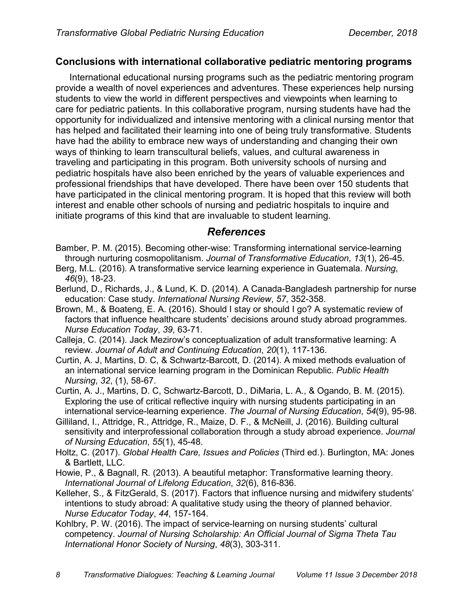### **Conclusions with international collaborative pediatric mentoring programs**

International educational nursing programs such as the pediatric mentoring program provide a wealth of novel experiences and adventures. These experiences help nursing students to view the world in different perspectives and viewpoints when learning to care for pediatric patients. In this collaborative program, nursing students have had the opportunity for individualized and intensive mentoring with a clinical nursing mentor that has helped and facilitated their learning into one of being truly transformative. Students have had the ability to embrace new ways of understanding and changing their own ways of thinking to learn transcultural beliefs, values, and cultural awareness in traveling and participating in this program. Both university schools of nursing and pediatric hospitals have also been enriched by the years of valuable experiences and professional friendships that have developed. There have been over 150 students that have participated in the clinical mentoring program. It is hoped that this review will both interest and enable other schools of nursing and pediatric hospitals to inquire and initiate programs of this kind that are invaluable to student learning.

## *References*

- Bamber, P. M. (2015). Becoming other-wise: Transforming international service-learning through nurturing cosmopolitanism. *Journal of Transformative Education*, *13*(1), 26-45.
- Berg, M.L. (2016). A transformative service learning experience in Guatemala. *Nursing*, *46*(9), 18-23.
- Berlund, D., Richards, J., & Lund, K. D. (2014). A Canada-Bangladesh partnership for nurse education: Case study. *International Nursing Review*, *57*, 352-358.
- Brown, M., & Boateng, E. A. (2016). Should I stay or should I go? A systematic review of factors that influence healthcare students' decisions around study abroad programmes. *Nurse Education Today*, *39*, 63-71.
- Calleja, C. (2014). Jack Mezirow's conceptualization of adult transformative learning: A review. *Journal of Adult and Continuing Education*, *20*(1), 117-136.
- Curtin, A. J, Martins, D. C, & Schwartz-Barcott, D. (2014). A mixed methods evaluation of an international service learning program in the Dominican Republic. *Public Health Nursing*, *32*, (1), 58-67.
- Curtin, A. J., Martins, D. C, Schwartz-Barcott, D., DiMaria, L. A., & Ogando, B. M. (2015). Exploring the use of critical reflective inquiry with nursing students participating in an international service-learning experience. *The Journal of Nursing Education*, *54*(9), 95-98.
- Gilliland, I., Attridge, R., Attridge, R., Maize, D. F., & McNeill, J. (2016). Building cultural sensitivity and interprofessional collaboration through a study abroad experience. *Journal of Nursing Education*, *55*(1), 45-48.
- Holtz, C. (2017). *Global Health Care, Issues and Policies* (Third ed.). Burlington, MA: Jones & Bartlett, LLC.
- Howie, P., & Bagnall, R. (2013). A beautiful metaphor: Transformative learning theory. *International Journal of Lifelong Education*, *32*(6), 816-836.
- Kelleher, S., & FitzGerald, S. (2017). Factors that influence nursing and midwifery students' intentions to study abroad: A qualitative study using the theory of planned behavior. *Nurse Educator Today*, *44*, 157-164.
- Kohlbry, P. W. (2016). The impact of service-learning on nursing students' cultural competency. *Journal of Nursing Scholarship: An Official Journal of Sigma Theta Tau International Honor Society of Nursing*, *48*(3), 303-311.